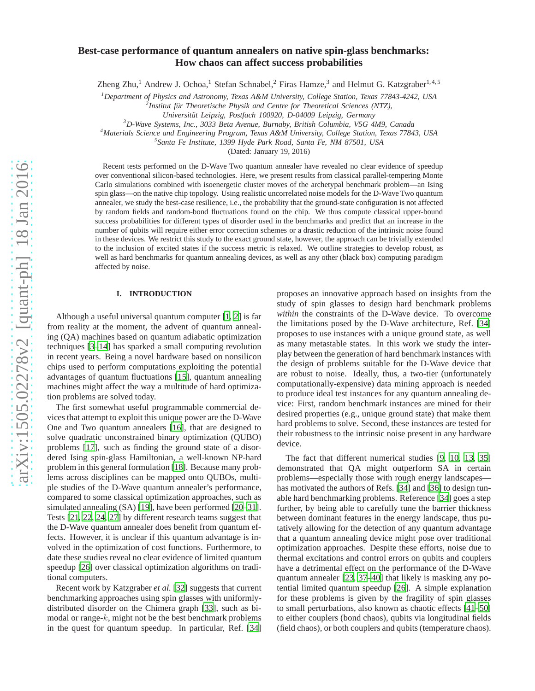# **Best-case performance of quantum annealers on native spin-glass benchmarks: How chaos can affect success probabilities**

Zheng Zhu,<sup>1</sup> Andrew J. Ochoa,<sup>1</sup> Stefan Schnabel,<sup>2</sup> Firas Hamze,<sup>3</sup> and Helmut G. Katzgraber<sup>1,4,5</sup>

*<sup>1</sup>Department of Physics and Astronomy, Texas A&M University, College Station, Texas 77843-4242, USA*

<sup>2</sup> Institut für Theoretische Physik and Centre for Theoretical Sciences (NTZ),

*<sup>3</sup>D-Wave Systems, Inc., 3033 Beta Avenue, Burnaby, British Columbia, V5G 4M9, Canada*

*<sup>4</sup>Materials Science and Engineering Program, Texas A&M University, College Station, Texas 77843, USA*

*5 Santa Fe Institute, 1399 Hyde Park Road, Santa Fe, NM 87501, USA*

(Dated: January 19, 2016)

Recent tests performed on the D-Wave Two quantum annealer have revealed no clear evidence of speedup over conventional silicon-based technologies. Here, we present results from classical parallel-tempering Monte Carlo simulations combined with isoenergetic cluster moves of the archetypal benchmark problem—an Ising spin glass—on the native chip topology. Using realistic uncorrelated noise models for the D-Wave Two quantum annealer, we study the best-case resilience, i.e., the probability that the ground-state configuration is not affected by random fields and random-bond fluctuations found on the chip. We thus compute classical upper-bound success probabilities for different types of disorder used in the benchmarks and predict that an increase in the number of qubits will require either error correction schemes or a drastic reduction of the intrinsic noise found in these devices. We restrict this study to the exact ground state, however, the approach can be trivially extended to the inclusion of excited states if the success metric is relaxed. We outline strategies to develop robust, as well as hard benchmarks for quantum annealing devices, as well as any other (black box) computing paradigm affected by noise.

# **I. INTRODUCTION**

Although a useful universal quantum computer [\[1,](#page-6-0) [2\]](#page-6-1) is far from reality at the moment, the advent of quantum annealing (QA) machines based on quantum adiabatic optimization techniques [\[3](#page-6-2)[–14](#page-6-3)] has sparked a small computing revolution in recent years. Being a novel hardware based on nonsilicon chips used to perform computations exploiting the potential advantages of quantum fluctuations [\[15](#page-6-4)], quantum annealing machines might affect the way a multitude of hard optimization problems are solved today.

The first somewhat useful programmable commercial devices that attempt to exploit this unique power are the D-Wave One and Two quantum annealers [\[16](#page-6-5)], that are designed to solve quadratic unconstrained binary optimization (QUBO) problems [\[17](#page-6-6)], such as finding the ground state of a disordered Ising spin-glass Hamiltonian, a well-known NP-hard problem in this general formulation [\[18\]](#page-6-7). Because many problems across disciplines can be mapped onto QUBOs, multiple studies of the D-Wave quantum annealer's performance, compared to some classical optimization approaches, such as simulated annealing (SA) [\[19](#page-6-8)], have been performed [\[20](#page-6-9)[–31](#page-6-10)]. Tests [\[21](#page-6-11), [22](#page-6-12), [24](#page-6-13), [27](#page-6-14)] by different research teams suggest that the D-Wave quantum annealer does benefit from quantum effects. However, it is unclear if this quantum advantage is involved in the optimization of cost functions. Furthermore, to date these studies reveal no clear evidence of limited quantum speedup [\[26\]](#page-6-15) over classical optimization algorithms on traditional computers.

Recent work by Katzgraber *et al.* [\[32\]](#page-6-16) suggests that current benchmarking approaches using spin glasses with uniformlydistributed disorder on the Chimera graph [\[33](#page-6-17)], such as bimodal or range- $k$ , might not be the best benchmark problems in the quest for quantum speedup. In particular, Ref. [\[34\]](#page-6-18) proposes an innovative approach based on insights from the study of spin glasses to design hard benchmark problems *within* the constraints of the D-Wave device. To overcome the limitations posed by the D-Wave architecture, Ref. [\[34\]](#page-6-18) proposes to use instances with a unique ground state, as well as many metastable states. In this work we study the interplay between the generation of hard benchmark instances with the design of problems suitable for the D-Wave device that are robust to noise. Ideally, thus, a two-tier (unfortunately computationally-expensive) data mining approach is needed to produce ideal test instances for any quantum annealing device: First, random benchmark instances are mined for their desired properties (e.g., unique ground state) that make them hard problems to solve. Second, these instances are tested for their robustness to the intrinsic noise present in any hardware device.

The fact that different numerical studies [\[9](#page-6-19), [10](#page-6-20), [13,](#page-6-21) [35\]](#page-6-22) demonstrated that QA might outperform SA in certain problems—especially those with rough energy landscapes has motivated the authors of Refs. [\[34\]](#page-6-18) and [\[36](#page-6-23)] to design tunable hard benchmarking problems. Reference [\[34\]](#page-6-18) goes a step further, by being able to carefully tune the barrier thickness between dominant features in the energy landscape, thus putatively allowing for the detection of any quantum advantage that a quantum annealing device might pose over traditional optimization approaches. Despite these efforts, noise due to thermal excitations and control errors on qubits and couplers have a detrimental effect on the performance of the D-Wave quantum annealer [\[23,](#page-6-24) [37](#page-6-25)[–40](#page-6-26)] that likely is masking any potential limited quantum speedup [\[26](#page-6-15)]. A simple explanation for these problems is given by the fragility of spin glasses to small perturbations, also known as chaotic effects [\[41](#page-6-27)[–50\]](#page-7-0) to either couplers (bond chaos), qubits via longitudinal fields (field chaos), or both couplers and qubits (temperature chaos).

*Universit¨at Leipzig, Postfach 100920, D-04009 Leipzig, Germany*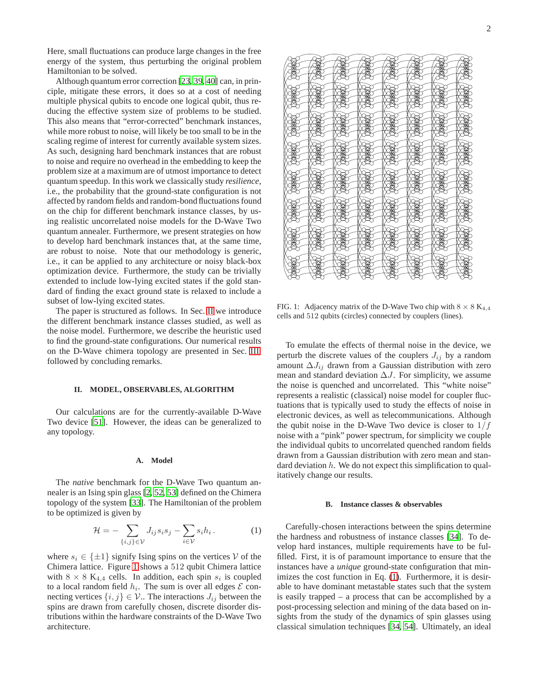Here, small fluctuations can produce large changes in the free energy of the system, thus perturbing the original problem Hamiltonian to be solved.

Although quantum error correction [\[23,](#page-6-24) [39,](#page-6-28) [40](#page-6-26)] can, in principle, mitigate these errors, it does so at a cost of needing multiple physical qubits to encode one logical qubit, thus reducing the effective system size of problems to be studied. This also means that "error-corrected" benchmark instances, while more robust to noise, will likely be too small to be in the scaling regime of interest for currently available system sizes. As such, designing hard benchmark instances that are robust to noise and require no overhead in the embedding to keep the problem size at a maximum are of utmost importance to detect quantum speedup. In this work we classically study *resilience*, i.e., the probability that the ground-state configuration is not affected by random fields and random-bond fluctuations found on the chip for different benchmark instance classes, by using realistic uncorrelated noise models for the D-Wave Two quantum annealer. Furthermore, we present strategies on how to develop hard benchmark instances that, at the same time, are robust to noise. Note that our methodology is generic, i.e., it can be applied to any architecture or noisy black-box optimization device. Furthermore, the study can be trivially extended to include low-lying excited states if the gold standard of finding the exact ground state is relaxed to include a subset of low-lying excited states.

The paper is structured as follows. In Sec. [II](#page-1-0) we introduce the different benchmark instance classes studied, as well as the noise model. Furthermore, we describe the heuristic used to find the ground-state configurations. Our numerical results on the D-Wave chimera topology are presented in Sec. [III,](#page-3-0) followed by concluding remarks.

## <span id="page-1-0"></span>**II. MODEL, OBSERVABLES, ALGORITHM**

Our calculations are for the currently-available D-Wave Two device [\[51\]](#page-7-1). However, the ideas can be generalized to any topology.

# **A. Model**

The *native* benchmark for the D-Wave Two quantum annealer is an Ising spin glass [\[2](#page-6-1), [52,](#page-7-2) [53](#page-7-3)] defined on the Chimera topology of the system [\[33\]](#page-6-17). The Hamiltonian of the problem to be optimized is given by

<span id="page-1-2"></span>
$$
\mathcal{H} = -\sum_{\{i,j\} \in \mathcal{V}} J_{ij} s_i s_j - \sum_{i \in \mathcal{V}} s_i h_i. \tag{1}
$$

where  $s_i \in {\pm 1}$  signify Ising spins on the vertices V of the Chimera lattice. Figure [1](#page-1-1) shows a 512 qubit Chimera lattice with  $8 \times 8$  K<sub>4,4</sub> cells. In addition, each spin  $s_i$  is coupled to a local random field  $h_i$ . The sum is over all edges  $\mathcal E$  connecting vertices  $\{i, j\} \in \mathcal{V}$ . The interactions  $J_{ij}$  between the spins are drawn from carefully chosen, discrete disorder distributions within the hardware constraints of the D-Wave Two architecture.

| 经数                | 人名英格兰人姓氏麦克里奇 | X           | なんだい | X | X       | K.<br>K | 数数      |
|-------------------|--------------|-------------|------|---|---------|---------|---------|
|                   |              |             |      |   |         |         |         |
|                   |              |             |      |   |         |         |         |
|                   |              |             |      |   |         |         |         |
| 数数                | 数数           | 美人<br>R     | 数数   | X | 数数      | 美人      | X       |
|                   |              |             |      |   |         |         |         |
|                   |              |             |      |   |         |         |         |
| 滋久                | X            | 後の          | X    | X | K.<br>A | X       | X       |
|                   |              |             |      |   |         |         |         |
|                   |              |             |      |   |         |         |         |
|                   |              | V           |      |   |         |         |         |
| SARA 1999.<br>Ali | X            | X           | 繁    | X | X       | X       | 放送      |
|                   |              |             |      |   |         |         |         |
|                   |              |             |      |   |         |         |         |
| X                 | 数数           | X           | 繁    | X | 数数<br>℟ | X       | X       |
|                   |              |             |      |   |         |         |         |
|                   |              |             |      |   |         |         |         |
|                   |              |             |      |   |         |         |         |
| X                 | X<br>Y       | X<br>R      | X    | X | X<br>V  | K.<br>K | X<br>R  |
|                   |              |             |      |   |         |         |         |
|                   |              |             |      |   |         |         |         |
| X                 | X            | V<br>X<br>R | X    | X | X<br>R  | X       | 数数<br>D |
|                   |              |             |      |   |         |         |         |
|                   |              |             |      |   |         |         |         |
|                   |              |             |      |   |         |         |         |
| 嫌い                | 美人           | X           | 分かり  | X | X       | 繁       | 纂       |
|                   |              |             |      |   |         |         |         |

<span id="page-1-1"></span>FIG. 1: Adjacency matrix of the D-Wave Two chip with  $8 \times 8$  K<sub>4,4</sub> cells and 512 qubits (circles) connected by couplers (lines).

To emulate the effects of thermal noise in the device, we perturb the discrete values of the couplers  $J_{ij}$  by a random amount  $\Delta J_{ij}$  drawn from a Gaussian distribution with zero mean and standard deviation  $\Delta J$ . For simplicity, we assume the noise is quenched and uncorrelated. This "white noise" represents a realistic (classical) noise model for coupler fluctuations that is typically used to study the effects of noise in electronic devices, as well as telecommunications. Although the qubit noise in the D-Wave Two device is closer to  $1/f$ noise with a "pink" power spectrum, for simplicity we couple the individual qubits to uncorrelated quenched random fields drawn from a Gaussian distribution with zero mean and standard deviation  $h$ . We do not expect this simplification to qualitatively change our results.

#### **B. Instance classes & observables**

Carefully-chosen interactions between the spins determine the hardness and robustness of instance classes [\[34\]](#page-6-18). To develop hard instances, multiple requirements have to be fulfilled. First, it is of paramount importance to ensure that the instances have a *unique* ground-state configuration that minimizes the cost function in Eq.  $(1)$ . Furthermore, it is desirable to have dominant metastable states such that the system is easily trapped – a process that can be accomplished by a post-processing selection and mining of the data based on insights from the study of the dynamics of spin glasses using classical simulation techniques [\[34,](#page-6-18) [54\]](#page-7-4). Ultimately, an ideal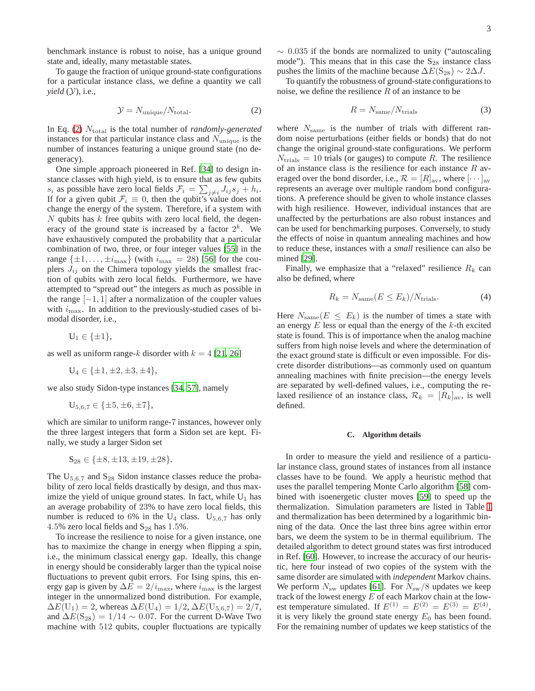benchmark instance is robust to noise, has a unique ground state and, ideally, many metastable states.

To gauge the fraction of unique ground-state configurations for a particular instance class, we define a quantity we call *yield* (*Y*), *i.e.*,

<span id="page-2-0"></span>
$$
\mathcal{Y} = N_{\text{unique}} / N_{\text{total}}.\tag{2}
$$

In Eq. [\(2\)](#page-2-0)  $N_{\text{total}}$  is the total number of *randomly-generated* instances for that particular instance class and  $N_{\text{unique}}$  is the number of instances featuring a unique ground state (no degeneracy).

One simple approach pioneered in Ref. [\[34\]](#page-6-18) to design instance classes with high yield, is to ensure that as few qubits  $s_i$  as possible have zero local fields  $\mathcal{F}_i = \sum_{j \neq i} J_{ij} s_j + h_i$ . If for a given qubit  $\mathcal{F}_i \equiv 0$ , then the qubit's value does not change the energy of the system. Therefore, if a system with  $N$  qubits has  $k$  free qubits with zero local field, the degeneracy of the ground state is increased by a factor  $2^k$ . We have exhaustively computed the probability that a particular combination of two, three, or four integer values [\[55](#page-7-5)] in the range  $\{\pm 1, \ldots, \pm i_{\text{max}}\}$  (with  $i_{\text{max}} = 28$ ) [\[56\]](#page-7-6) for the couplers  $J_{ij}$  on the Chimera topology yields the smallest fraction of qubits with zero local fields. Furthermore, we have attempted to "spread out" the integers as much as possible in the range  $[-1, 1]$  after a normalization of the coupler values with  $i_{\text{max}}$ . In addition to the previously-studied cases of bimodal disorder, i.e.,

 $U_1 \in \{\pm 1\},\$ 

as well as uniform range-k disorder with  $k = 4$  [\[21](#page-6-11), [26](#page-6-15)]

$$
U_4 \in \{\pm 1, \pm 2, \pm 3, \pm 4\},\
$$

we also study Sidon-type instances [\[34](#page-6-18), [57](#page-7-7)], namely

$$
U_{5,6,7} \in \{\pm 5, \pm 6, \pm 7\},\
$$

which are similar to uniform range-7 instances, however only the three largest integers that form a Sidon set are kept. Finally, we study a larger Sidon set

$$
S_{28} \in \{\pm 8, \pm 13, \pm 19, \pm 28\}.
$$

The  $U_{5,6,7}$  and  $S_{28}$  Sidon instance classes reduce the probability of zero local fields drastically by design, and thus maximize the yield of unique ground states. In fact, while  $U_1$  has an average probability of 23% to have zero local fields, this number is reduced to 6% in the  $U_4$  class.  $U_{5,6,7}$  has only 4.5% zero local fields and  $S_{28}$  has 1.5%.

To increase the resilience to noise for a given instance, one has to maximize the change in energy when flipping a spin, i.e., the minimum classical energy gap. Ideally, this change in energy should be considerably larger than the typical noise fluctuations to prevent qubit errors. For Ising spins, this energy gap is given by  $\Delta E = 2/i_{\text{max}}$ , where  $i_{\text{max}}$  is the largest integer in the unnormalized bond distribution. For example,  $\Delta E(U_1) = 2$ , whereas  $\Delta E(U_4) = 1/2$ ,  $\Delta E(U_{5.6,7}) = 2/7$ , and  $\Delta E(S_{28}) = 1/14 \sim 0.07$ . For the current D-Wave Two machine with 512 qubits, coupler fluctuations are typically  $\sim$  0.035 if the bonds are normalized to unity ("autoscaling") mode"). This means that in this case the  $S_{28}$  instance class pushes the limits of the machine because  $\Delta E(S_{28}) \sim 2\Delta J$ .

To quantify the robustness of ground-state configurations to noise, we define the resilience  $R$  of an instance to be

$$
R = N_{\text{same}} / N_{\text{trials}} \tag{3}
$$

where  $N_{\text{same}}$  is the number of trials with different random noise perturbations (either fields or bonds) that do not change the original ground-state configurations. We perform  $N<sub>trials</sub> = 10$  trials (or gauges) to compute R. The resilience of an instance class is the resilience for each instance  $R$  averaged over the bond disorder, i.e.,  $\mathcal{R} = [R]_{av}$ , where  $[\cdots]_{av}$ represents an average over multiple random bond configurations. A preference should be given to whole instance classes with high resilience. However, individual instances that are unaffected by the perturbations are also robust instances and can be used for benchmarking purposes. Conversely, to study the effects of noise in quantum annealing machines and how to reduce these, instances with a *small* resilience can also be mined [\[29\]](#page-6-29).

Finally, we emphasize that a "relaxed" resilience  $R_k$  can also be defined, where

$$
R_k = N_{\text{same}}(E \le E_k) / N_{\text{trials}}.\tag{4}
$$

Here  $N_{\text{same}}(E \leq E_k)$  is the number of times a state with an energy  $E$  less or equal than the energy of the  $k$ -th excited state is found. This is of importance when the analog machine suffers from high noise levels and where the determination of the exact ground state is difficult or even impossible. For discrete disorder distributions—as commonly used on quantum annealing machines with finite precision—the energy levels are separated by well-defined values, i.e., computing the relaxed resilience of an instance class,  $\mathcal{R}_k = [R_k]_{av}$ , is well defined.

#### **C. Algorithm details**

In order to measure the yield and resilience of a particular instance class, ground states of instances from all instance classes have to be found. We apply a heuristic method that uses the parallel tempering Monte Carlo algorithm [\[58\]](#page-7-8) combined with isoenergetic cluster moves [\[59](#page-7-9)] to speed up the thermalization. Simulation parameters are listed in Table [I](#page-3-1) and thermalization has been determined by a logarithmic binning of the data. Once the last three bins agree within error bars, we deem the system to be in thermal equilibrium. The detailed algorithm to detect ground states was first introduced in Ref. [\[60\]](#page-7-10). However, to increase the accuracy of our heuristic, here four instead of two copies of the system with the same disorder are simulated with *independent* Markov chains. We perform  $N_{\rm sw}$  updates [\[61](#page-7-11)]. For  $N_{\rm sw}/8$  updates we keep track of the lowest energy  $E$  of each Markov chain at the lowest temperature simulated. If  $E^{(1)} = E^{(2)} = E^{(3)} = E^{(4)}$ , it is very likely the ground state energy  $E_0$  has been found. For the remaining number of updates we keep statistics of the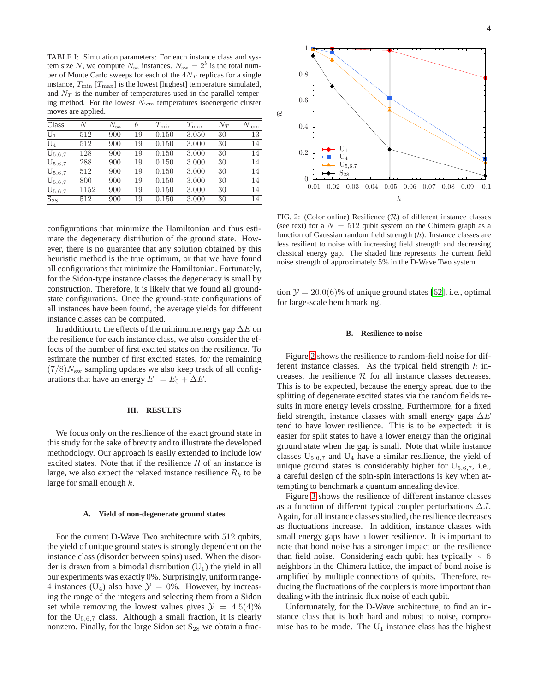<span id="page-3-1"></span>TABLE I: Simulation parameters: For each instance class and system size N, we compute  $N_{sa}$  instances.  $N_{sw} = 2^b$  is the total number of Monte Carlo sweeps for each of the  $4N<sub>T</sub>$  replicas for a single instance,  $T_{\min}$  [ $T_{\max}$ ] is the lowest [highest] temperature simulated, and  $N_T$  is the number of temperatures used in the parallel tempering method. For the lowest  $N_{\text{icm}}$  temperatures isoenergetic cluster moves are applied.

| Class       | N    | $N_{\rm sa}$ | b  | $T_{\rm min}$ | $T_{\rm max}$ | $N_T$ | $N_{\rm {icm}}$ |
|-------------|------|--------------|----|---------------|---------------|-------|-----------------|
| $U_1$       | 512  | 900          | 19 | 0.150         | 3.050         | 30    | 13              |
| $U_4$       | 512  | 900          | 19 | 0.150         | 3.000         | 30    | 14              |
| $U_{5,6,7}$ | 128  | 900          | 19 | 0.150         | 3.000         | 30    | 14              |
| $U_{5,6,7}$ | 288  | 900          | 19 | 0.150         | 3.000         | 30    | 14              |
| $U_{5,6,7}$ | 512  | 900          | 19 | 0.150         | 3.000         | 30    | 14              |
| $U_{5,6,7}$ | 800  | 900          | 19 | 0.150         | 3.000         | 30    | 14              |
| $U_{5,6,7}$ | 1152 | 900          | 19 | 0.150         | 3.000         | 30    | 14              |
| $S_{28}$    | 512  | 900          | 19 | 0.150         | 3.000         | 30    | 14              |

configurations that minimize the Hamiltonian and thus estimate the degeneracy distribution of the ground state. However, there is no guarantee that any solution obtained by this heuristic method is the true optimum, or that we have found all configurations that minimize the Hamiltonian. Fortunately, for the Sidon-type instance classes the degeneracy is small by construction. Therefore, it is likely that we found all groundstate configurations. Once the ground-state configurations of all instances have been found, the average yields for different instance classes can be computed.

In addition to the effects of the minimum energy gap  $\Delta E$  on the resilience for each instance class, we also consider the effects of the number of first excited states on the resilience. To estimate the number of first excited states, for the remaining  $(7/8)N<sub>sw</sub>$  sampling updates we also keep track of all configurations that have an energy  $E_1 = E_0 + \Delta E$ .

## <span id="page-3-0"></span>**III. RESULTS**

We focus only on the resilience of the exact ground state in this study for the sake of brevity and to illustrate the developed methodology. Our approach is easily extended to include low excited states. Note that if the resilience  $R$  of an instance is large, we also expect the relaxed instance resilience  $R_k$  to be large for small enough  $k$ .

#### **A. Yield of non-degenerate ground states**

For the current D-Wave Two architecture with 512 qubits, the yield of unique ground states is strongly dependent on the instance class (disorder between spins) used. When the disorder is drawn from a bimodal distribution  $(U_1)$  the yield in all our experiments was exactly 0%. Surprisingly, uniform range-4 instances (U<sub>4</sub>) also have  $\mathcal{Y} = 0\%$ . However, by increasing the range of the integers and selecting them from a Sidon set while removing the lowest values gives  $\mathcal{Y} = 4.5(4)\%$ for the  $U_{5,6,7}$  class. Although a small fraction, it is clearly nonzero. Finally, for the large Sidon set  $S_{28}$  we obtain a frac-



<span id="page-3-2"></span>FIG. 2: (Color online) Resilience  $(R)$  of different instance classes (see text) for a  $N = 512$  qubit system on the Chimera graph as a function of Gaussian random field strength  $(h)$ . Instance classes are less resilient to noise with increasing field strength and decreasing classical energy gap. The shaded line represents the current field noise strength of approximately 5% in the D-Wave Two system.

tion  $\mathcal{Y} = 20.0(6)$ % of unique ground states [\[62](#page-7-12)], i.e., optimal for large-scale benchmarking.

## **B. Resilience to noise**

Figure [2](#page-3-2) shows the resilience to random-field noise for different instance classes. As the typical field strength  $h$  increases, the resilience  $R$  for all instance classes decreases. This is to be expected, because the energy spread due to the splitting of degenerate excited states via the random fields results in more energy levels crossing. Furthermore, for a fixed field strength, instance classes with small energy gaps  $\Delta E$ tend to have lower resilience. This is to be expected: it is easier for split states to have a lower energy than the original ground state when the gap is small. Note that while instance classes  $U_{5,6,7}$  and  $U_4$  have a similar resilience, the yield of unique ground states is considerably higher for  $U_{5,6,7}$ , i.e., a careful design of the spin-spin interactions is key when attempting to benchmark a quantum annealing device.

Figure [3](#page-4-0) shows the resilience of different instance classes as a function of different typical coupler perturbations  $\Delta J$ . Again, for all instance classes studied, the resilience decreases as fluctuations increase. In addition, instance classes with small energy gaps have a lower resilience. It is important to note that bond noise has a stronger impact on the resilience than field noise. Considering each qubit has typically  $\sim 6$ neighbors in the Chimera lattice, the impact of bond noise is amplified by multiple connections of qubits. Therefore, reducing the fluctuations of the couplers is more important than dealing with the intrinsic flux noise of each qubit.

Unfortunately, for the D-Wave architecture, to find an instance class that is both hard and robust to noise, compromise has to be made. The  $U_1$  instance class has the highest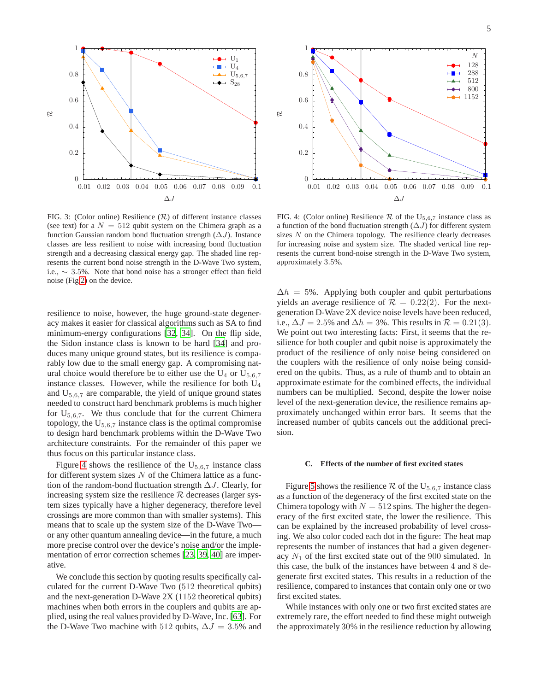

<span id="page-4-0"></span>FIG. 3: (Color online) Resilience  $(R)$  of different instance classes (see text) for a  $N = 512$  qubit system on the Chimera graph as a function Gaussian random bond fluctuation strength  $(\Delta J)$ . Instance classes are less resilient to noise with increasing bond fluctuation strength and a decreasing classical energy gap. The shaded line represents the current bond noise strength in the D-Wave Two system, i.e., ∼ 3.5%. Note that bond noise has a stronger effect than field noise (Fig[.2\)](#page-3-2) on the device.

resilience to noise, however, the huge ground-state degeneracy makes it easier for classical algorithms such as SA to find minimum-energy configurations [\[32](#page-6-16), [34\]](#page-6-18). On the flip side, the Sidon instance class is known to be hard [\[34](#page-6-18)] and produces many unique ground states, but its resilience is comparably low due to the small energy gap. A compromising natural choice would therefore be to either use the  $U_4$  or  $U_{5,6,7}$ instance classes. However, while the resilience for both U<sup>4</sup> and  $U_{5,6,7}$  are comparable, the yield of unique ground states needed to construct hard benchmark problems is much higher for  $U_{5,6,7}$ . We thus conclude that for the current Chimera topology, the  $U_{5,6,7}$  instance class is the optimal compromise to design hard benchmark problems within the D-Wave Two architecture constraints. For the remainder of this paper we thus focus on this particular instance class.

Figure [4](#page-4-1) shows the resilience of the  $U_{5,6,7}$  instance class for different system sizes  $N$  of the Chimera lattice as a function of the random-bond fluctuation strength  $\Delta J$ . Clearly, for increasing system size the resilience  $R$  decreases (larger system sizes typically have a higher degeneracy, therefore level crossings are more common than with smaller systems). This means that to scale up the system size of the D-Wave Two or any other quantum annealing device—in the future, a much more precise control over the device's noise and/or the implementation of error correction schemes [\[23,](#page-6-24) [39](#page-6-28), [40](#page-6-26)] are imperative.

We conclude this section by quoting results specifically calculated for the current D-Wave Two (512 theoretical qubits) and the next-generation D-Wave 2X (1152 theoretical qubits) machines when both errors in the couplers and qubits are applied, using the real values provided by D-Wave, Inc. [\[63\]](#page-7-13). For the D-Wave Two machine with 512 qubits,  $\Delta J = 3.5\%$  and



<span id="page-4-1"></span>FIG. 4: (Color online) Resilience  $\mathcal R$  of the U<sub>5,6,7</sub> instance class as a function of the bond fluctuation strength  $(\Delta J)$  for different system sizes  $N$  on the Chimera topology. The resilience clearly decreases for increasing noise and system size. The shaded vertical line represents the current bond-noise strength in the D-Wave Two system, approximately 3.5%.

 $\Delta h = 5\%$ . Applying both coupler and qubit perturbations yields an average resilience of  $\mathcal{R} = 0.22(2)$ . For the nextgeneration D-Wave 2X device noise levels have been reduced, i.e.,  $\Delta J = 2.5\%$  and  $\Delta h = 3\%$ . This results in  $\mathcal{R} = 0.21(3)$ . We point out two interesting facts: First, it seems that the resilience for both coupler and qubit noise is approximately the product of the resilience of only noise being considered on the couplers with the resilience of only noise being considered on the qubits. Thus, as a rule of thumb and to obtain an approximate estimate for the combined effects, the individual numbers can be multiplied. Second, despite the lower noise level of the next-generation device, the resilience remains approximately unchanged within error bars. It seems that the increased number of qubits cancels out the additional precision.

#### **C. Effects of the number of first excited states**

Figure [5](#page-5-0) shows the resilience  $\mathcal R$  of the U<sub>5,6,7</sub> instance class as a function of the degeneracy of the first excited state on the Chimera topology with  $N = 512$  spins. The higher the degeneracy of the first excited state, the lower the resilience. This can be explained by the increased probability of level crossing. We also color coded each dot in the figure: The heat map represents the number of instances that had a given degeneracy  $N_1$  of the first excited state out of the 900 simulated. In this case, the bulk of the instances have between 4 and 8 degenerate first excited states. This results in a reduction of the resilience, compared to instances that contain only one or two first excited states.

While instances with only one or two first excited states are extremely rare, the effort needed to find these might outweigh the approximately 30% in the resilience reduction by allowing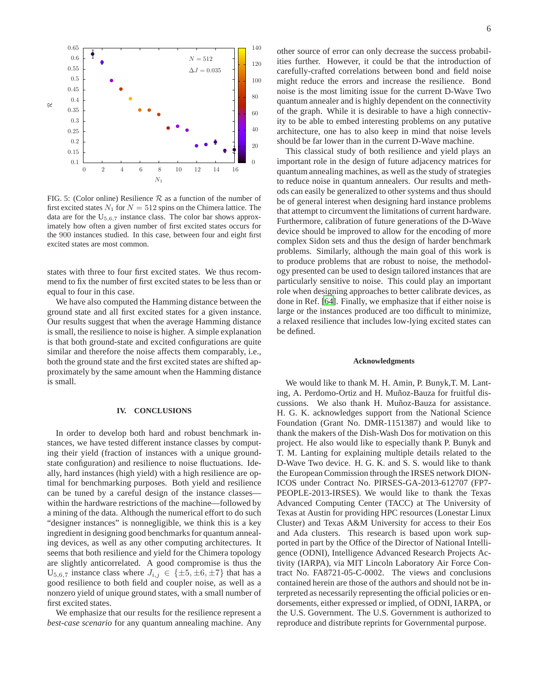

<span id="page-5-0"></span>FIG. 5: (Color online) Resilience  $\mathcal R$  as a function of the number of first excited states  $N_1$  for  $N = 512$  spins on the Chimera lattice. The data are for the  $U_{5,6,7}$  instance class. The color bar shows approximately how often a given number of first excited states occurs for the 900 instances studied. In this case, between four and eight first excited states are most common.

states with three to four first excited states. We thus recommend to fix the number of first excited states to be less than or equal to four in this case.

We have also computed the Hamming distance between the ground state and all first excited states for a given instance. Our results suggest that when the average Hamming distance is small, the resilience to noise is higher. A simple explanation is that both ground-state and excited configurations are quite similar and therefore the noise affects them comparably, i.e., both the ground state and the first excited states are shifted approximately by the same amount when the Hamming distance is small.

## **IV. CONCLUSIONS**

In order to develop both hard and robust benchmark instances, we have tested different instance classes by computing their yield (fraction of instances with a unique groundstate configuration) and resilience to noise fluctuations. Ideally, hard instances (high yield) with a high resilience are optimal for benchmarking purposes. Both yield and resilience can be tuned by a careful design of the instance classes within the hardware restrictions of the machine—followed by a mining of the data. Although the numerical effort to do such "designer instances" is nonnegligible, we think this is a key ingredient in designing good benchmarks for quantum annealing devices, as well as any other computing architectures. It seems that both resilience and yield for the Chimera topology are slightly anticorrelated. A good compromise is thus the  $U_{5,6,7}$  instance class where  $J_{i,j} \in \{\pm 5, \pm 6, \pm 7\}$  that has a good resilience to both field and coupler noise, as well as a nonzero yield of unique ground states, with a small number of first excited states.

We emphasize that our results for the resilience represent a *best-case scenario* for any quantum annealing machine. Any

other source of error can only decrease the success probabilities further. However, it could be that the introduction of carefully-crafted correlations between bond and field noise might reduce the errors and increase the resilience. Bond noise is the most limiting issue for the current D-Wave Two quantum annealer and is highly dependent on the connectivity of the graph. While it is desirable to have a high connectivity to be able to embed interesting problems on any putative architecture, one has to also keep in mind that noise levels should be far lower than in the current D-Wave machine.

This classical study of both resilience and yield plays an important role in the design of future adjacency matrices for quantum annealing machines, as well as the study of strategies to reduce noise in quantum annealers. Our results and methods can easily be generalized to other systems and thus should be of general interest when designing hard instance problems that attempt to circumvent the limitations of current hardware. Furthermore, calibration of future generations of the D-Wave device should be improved to allow for the encoding of more complex Sidon sets and thus the design of harder benchmark problems. Similarly, although the main goal of this work is to produce problems that are robust to noise, the methodology presented can be used to design tailored instances that are particularly sensitive to noise. This could play an important role when designing approaches to better calibrate devices, as done in Ref. [\[64\]](#page-7-14). Finally, we emphasize that if either noise is large or the instances produced are too difficult to minimize, a relaxed resilience that includes low-lying excited states can be defined.

#### **Acknowledgments**

We would like to thank M. H. Amin, P. Bunyk,T. M. Lanting, A. Perdomo-Ortiz and H. Muñoz-Bauza for fruitful discussions. We also thank H. Muñoz-Bauza for assistance. H. G. K. acknowledges support from the National Science Foundation (Grant No. DMR-1151387) and would like to thank the makers of the Dish-Wash Dos for motivation on this project. He also would like to especially thank P. Bunyk and T. M. Lanting for explaining multiple details related to the D-Wave Two device. H. G. K. and S. S. would like to thank the European Commission through the IRSES network DION-ICOS under Contract No. PIRSES-GA-2013-612707 (FP7- PEOPLE-2013-IRSES). We would like to thank the Texas Advanced Computing Center (TACC) at The University of Texas at Austin for providing HPC resources (Lonestar Linux Cluster) and Texas A&M University for access to their Eos and Ada clusters. This research is based upon work supported in part by the Office of the Director of National Intelligence (ODNI), Intelligence Advanced Research Projects Activity (IARPA), via MIT Lincoln Laboratory Air Force Contract No. FA8721-05-C-0002. The views and conclusions contained herein are those of the authors and should not be interpreted as necessarily representing the official policies or endorsements, either expressed or implied, of ODNI, IARPA, or the U.S. Government. The U.S. Government is authorized to reproduce and distribute reprints for Governmental purpose.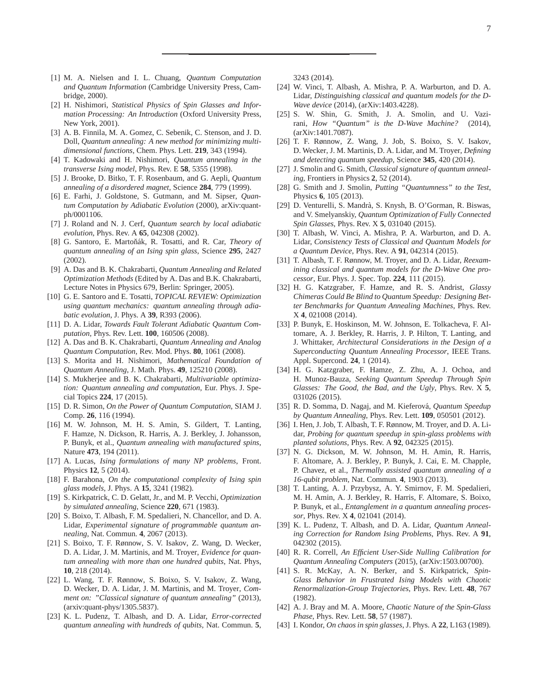- <span id="page-6-0"></span>[1] M. A. Nielsen and I. L. Chuang, *Quantum Computation and Quantum Information* (Cambridge University Press, Cambridge, 2000).
- <span id="page-6-1"></span>[2] H. Nishimori, *Statistical Physics of Spin Glasses and Information Processing: An Introduction* (Oxford University Press, New York, 2001).
- <span id="page-6-2"></span>[3] A. B. Finnila, M. A. Gomez, C. Sebenik, C. Stenson, and J. D. Doll, *Quantum annealing: A new method for minimizing multidimensional functions*, Chem. Phys. Lett. **219**, 343 (1994).
- [4] T. Kadowaki and H. Nishimori, *Quantum annealing in the transverse Ising model*, Phys. Rev. E **58**, 5355 (1998).
- [5] J. Brooke, D. Bitko, T. F. Rosenbaum, and G. Aepli, *Quantum annealing of a disordered magnet*, Science **284**, 779 (1999).
- [6] E. Farhi, J. Goldstone, S. Gutmann, and M. Sipser, *Quantum Computation by Adiabatic Evolution* (2000), arXiv:quantph/0001106.
- [7] J. Roland and N. J. Cerf, *Quantum search by local adiabatic evolution*, Phys. Rev. A **65**, 042308 (2002).
- [8] G. Santoro, E. Martoňák, R. Tosatti, and R. Car, *Theory of quantum annealing of an Ising spin glass*, Science **295**, 2427 (2002).
- <span id="page-6-19"></span>[9] A. Das and B. K. Chakrabarti, *Quantum Annealing and Related Optimization Methods* (Edited by A. Das and B.K. Chakrabarti, Lecture Notes in Physics 679, Berlin: Springer, 2005).
- <span id="page-6-20"></span>[10] G. E. Santoro and E. Tosatti, *TOPICAL REVIEW: Optimization using quantum mechanics: quantum annealing through adiabatic evolution*, J. Phys. A **39**, R393 (2006).
- [11] D. A. Lidar, *Towards Fault Tolerant Adiabatic Quantum Computation*, Phys. Rev. Lett. **100**, 160506 (2008).
- [12] A. Das and B. K. Chakrabarti, *Quantum Annealing and Analog Quantum Computation*, Rev. Mod. Phys. **80**, 1061 (2008).
- <span id="page-6-21"></span>[13] S. Morita and H. Nishimori, *Mathematical Foundation of Quantum Annealing*, J. Math. Phys. **49**, 125210 (2008).
- <span id="page-6-3"></span>[14] S. Mukherjee and B. K. Chakrabarti, *Multivariable optimization: Quantum annealing and computation*, Eur. Phys. J. Special Topics **224**, 17 (2015).
- <span id="page-6-4"></span>[15] D. R. Simon, *On the Power of Quantum Computation*, SIAM J. Comp. **26**, 116 (1994).
- <span id="page-6-5"></span>[16] M. W. Johnson, M. H. S. Amin, S. Gildert, T. Lanting, F. Hamze, N. Dickson, R. Harris, A. J. Berkley, J. Johansson, P. Bunyk, et al., *Quantum annealing with manufactured spins*, Nature **473**, 194 (2011).
- <span id="page-6-6"></span>[17] A. Lucas, *Ising formulations of many NP problems*, Front. Physics **12**, 5 (2014).
- <span id="page-6-7"></span>[18] F. Barahona, *On the computational complexity of Ising spin glass models*, J. Phys. A **15**, 3241 (1982).
- <span id="page-6-8"></span>[19] S. Kirkpatrick, C. D. Gelatt, Jr., and M. P. Vecchi, *Optimization by simulated annealing*, Science **220**, 671 (1983).
- <span id="page-6-9"></span>[20] S. Boixo, T. Albash, F. M. Spedalieri, N. Chancellor, and D. A. Lidar, *Experimental signature of programmable quantum annealing*, Nat. Commun. **4**, 2067 (2013).
- <span id="page-6-11"></span>[21] S. Boixo, T. F. Rønnow, S. V. Isakov, Z. Wang, D. Wecker, D. A. Lidar, J. M. Martinis, and M. Troyer, *Evidence for quantum annealing with more than one hundred qubits*, Nat. Phys, **10**, 218 (2014).
- <span id="page-6-12"></span>[22] L. Wang, T. F. Rønnow, S. Boixo, S. V. Isakov, Z. Wang, D. Wecker, D. A. Lidar, J. M. Martinis, and M. Troyer, *Comment on: "Classical signature of quantum annealing"* (2013), (arxiv:quant-phys/1305.5837).
- <span id="page-6-24"></span>[23] K. L. Pudenz, T. Albash, and D. A. Lidar, *Error-corrected quantum annealing with hundreds of qubits*, Nat. Commun. **5**,

3243 (2014).

- <span id="page-6-13"></span>[24] W. Vinci, T. Albash, A. Mishra, P. A. Warburton, and D. A. Lidar, *Distinguishing classical and quantum models for the D-Wave device* (2014), (arXiv:1403.4228).
- [25] S. W. Shin, G. Smith, J. A. Smolin, and U. Vazirani, *How "Quantum" is the D-Wave Machine?* (2014), (arXiv:1401.7087).
- <span id="page-6-15"></span>[26] T. F. Rønnow, Z. Wang, J. Job, S. Boixo, S. V. Isakov, D. Wecker, J. M. Martinis, D. A. Lidar, and M. Troyer, *Defining and detecting quantum speedup*, Science **345**, 420 (2014).
- <span id="page-6-14"></span>[27] J. Smolin and G. Smith, *Classical signature of quantum annealing*, Frontiers in Physics **2**, 52 (2014).
- [28] G. Smith and J. Smolin, *Putting "Quantumness" to the Test*, Physics **6**, 105 (2013).
- <span id="page-6-29"></span>[29] D. Venturelli, S. Mandrà, S. Knysh, B. O'Gorman, R. Biswas, and V. Smelyanskiy, *Quantum Optimization of Fully Connected Spin Glasses*, Phys. Rev. X **5**, 031040 (2015).
- [30] T. Albash, W. Vinci, A. Mishra, P. A. Warburton, and D. A. Lidar, *Consistency Tests of Classical and Quantum Models for a Quantum Device*, Phys. Rev. A **91**, 042314 (2015).
- <span id="page-6-10"></span>[31] T. Albash, T. F. Rønnow, M. Troyer, and D. A. Lidar, *Reexamining classical and quantum models for the D-Wave One processor*, Eur. Phys. J. Spec. Top. **224**, 111 (2015).
- <span id="page-6-16"></span>[32] H. G. Katzgraber, F. Hamze, and R. S. Andrist, *Glassy Chimeras Could Be Blind to Quantum Speedup: Designing Better Benchmarks for Quantum Annealing Machines*, Phys. Rev. X **4**, 021008 (2014).
- <span id="page-6-17"></span>[33] P. Bunyk, E. Hoskinson, M. W. Johnson, E. Tolkacheva, F. Altomare, A. J. Berkley, R. Harris, J. P. Hilton, T. Lanting, and J. Whittaker, *Architectural Considerations in the Design of a Superconducting Quantum Annealing Processor*, IEEE Trans. Appl. Supercond. **24**, 1 (2014).
- <span id="page-6-18"></span>[34] H. G. Katzgraber, F. Hamze, Z. Zhu, A. J. Ochoa, and H. Munoz-Bauza, *Seeking Quantum Speedup Through Spin Glasses: The Good, the Bad, and the Ugly*, Phys. Rev. X **5**, 031026 (2015).
- <span id="page-6-22"></span>[35] R. D. Somma, D. Nagaj, and M. Kieferová, *Quantum Speedup by Quantum Annealing*, Phys. Rev. Lett. **109**, 050501 (2012).
- <span id="page-6-23"></span>[36] I. Hen, J. Job, T. Albash, T. F. Rønnow, M. Troyer, and D. A. Lidar, *Probing for quantum speedup in spin-glass problems with planted solutions*, Phys. Rev. A **92**, 042325 (2015).
- <span id="page-6-25"></span>[37] N. G. Dickson, M. W. Johnson, M. H. Amin, R. Harris, F. Altomare, A. J. Berkley, P. Bunyk, J. Cai, E. M. Chapple, P. Chavez, et al., *Thermally assisted quantum annealing of a 16-qubit problem*, Nat. Commun. **4**, 1903 (2013).
- [38] T. Lanting, A. J. Przybysz, A. Y. Smirnov, F. M. Spedalieri, M. H. Amin, A. J. Berkley, R. Harris, F. Altomare, S. Boixo, P. Bunyk, et al., *Entanglement in a quantum annealing processor*, Phys. Rev. X **4**, 021041 (2014).
- <span id="page-6-28"></span>[39] K. L. Pudenz, T. Albash, and D. A. Lidar, *Quantum Annealing Correction for Random Ising Problems*, Phys. Rev. A **91**, 042302 (2015).
- <span id="page-6-26"></span>[40] R. R. Correll, *An Efficient User-Side Nulling Calibration for Quantum Annealing Computers* (2015), (arXiv:1503.00700).
- <span id="page-6-27"></span>[41] S. R. McKay, A. N. Berker, and S. Kirkpatrick, *Spin-Glass Behavior in Frustrated Ising Models with Chaotic Renormalization-Group Trajectories*, Phys. Rev. Lett. **48**, 767 (1982).
- [42] A. J. Bray and M. A. Moore, *Chaotic Nature of the Spin-Glass Phase*, Phys. Rev. Lett. **58**, 57 (1987).
- [43] I. Kondor, *On chaos in spin glasses*, J. Phys. A **22**, L163 (1989).